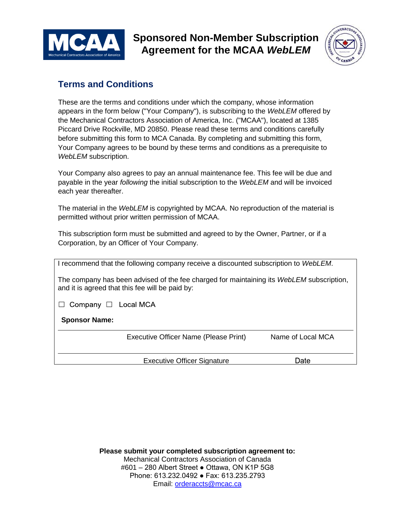

**Sponsored Non-Member Subscription Agreement for the MCAA** *WebLEM*



## **Terms and Conditions**

These are the terms and conditions under which the company, whose information appears in the form below ("Your Company"), is subscribing to the *WebLEM* offered by the Mechanical Contractors Association of America, Inc. ("MCAA"), located at 1385 Piccard Drive Rockville, MD 20850. Please read these terms and conditions carefully before submitting this form to MCA Canada. By completing and submitting this form, Your Company agrees to be bound by these terms and conditions as a prerequisite to *WebLEM* subscription.

Your Company also agrees to pay an annual maintenance fee. This fee will be due and payable in the year *following* the initial subscription to the *WebLEM* and will be invoiced each year thereafter.

The material in the *WebLEM* is copyrighted by MCAA. No reproduction of the material is permitted without prior written permission of MCAA.

This subscription form must be submitted and agreed to by the Owner, Partner, or if a Corporation, by an Officer of Your Company.

| I recommend that the following company receive a discounted subscription to WebLEM.                                                         |                                       |                   |  |  |  |
|---------------------------------------------------------------------------------------------------------------------------------------------|---------------------------------------|-------------------|--|--|--|
| The company has been advised of the fee charged for maintaining its WebLEM subscription,<br>and it is agreed that this fee will be paid by: |                                       |                   |  |  |  |
| Company $\Box$ Local MCA                                                                                                                    |                                       |                   |  |  |  |
| <b>Sponsor Name:</b>                                                                                                                        |                                       |                   |  |  |  |
|                                                                                                                                             | Executive Officer Name (Please Print) | Name of Local MCA |  |  |  |
|                                                                                                                                             | <b>Executive Officer Signature</b>    | Date              |  |  |  |